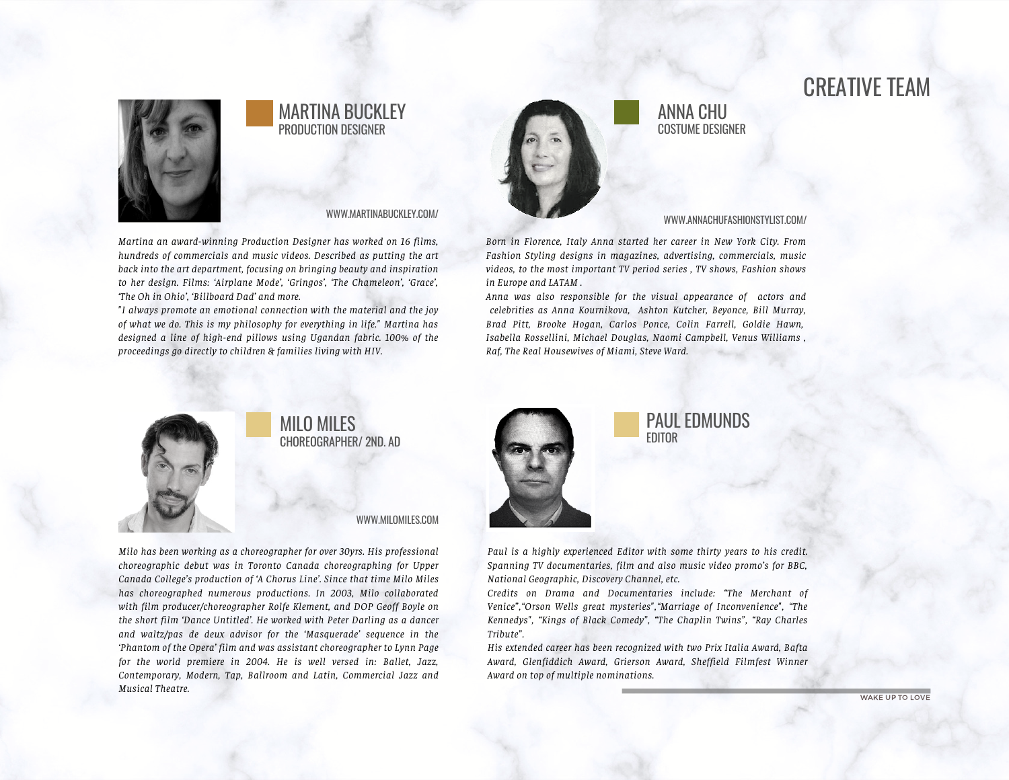# CREATIVE TEAM



#### MARTINA BUCKLEY PRODUCTION DESIGNER

#### WWW.MARTINABUCKLEY.COM/

*Martina an award-winning Production Designer has worked on 16 films, hundreds of commercials and music videos. Described as putting the art back into the art department, focusing on bringing beauty and inspiration to her design. Films: 'Airplane Mode', 'Gringos', 'The Chameleon', 'Grace', 'The Oh in Ohio', 'Billboard Dad' and more.*

*"I always promote an emotional connection with the material and the joy of what we do. This is my philosophy for everything in life." Martina has designed a line of high-end pillows using Ugandan fabric. 100% of the proceedings go directly to children & families living with HIV.*



#### ANNA CHU COSTUME DESIGNER

#### WWW.ANNACHUFASHIONSTYLIST.COM/

*Born in Florence, Italy Anna started her career in New York City. From Fashion Styling designs in magazines, advertising, commercials, music videos, to the most important TV period series , TV shows, Fashion shows in Europe and LATAM .*

*Anna was also responsible for the visual appearance of actors and celebrities as Anna Kournikova, Ashton Kutcher, Beyonce, Bill Murray, Brad Pitt, Brooke Hogan, Carlos Ponce, Colin Farrell, Goldie Hawn, Isabella Rossellini, Michael Douglas, Naomi Campbell, Venus Williams , Raf, The Real Housewives of Miami, Steve Ward.*



### MILO MILES CHOREOGRAPHER/ 2ND. AD

WWW.MILOMILES.COM

*Milo has been working as a choreographer for over 30yrs. His professional choreographic debut was in Toronto Canada choreographing for Upper Canada College's production of 'A Chorus Line'. Since that time Milo Miles has choreographed numerous productions. In 2003, Milo collaborated with film producer/choreographer Rolfe Klement, and DOP Geoff Boyle on the short film 'Dance Untitled'. He worked with Peter Darling as a dancer and waltz/pas de deux advisor for the 'Masquerade' sequence in the 'Phantom of the Opera' film and was assistant choreographer to Lynn Page for the world premiere in 2004. He is well versed in: Ballet, Jazz, Contemporary, Modern, Tap, Ballroom and Latin, Commercial Jazz and Musical Theatre.*



#### PAUL EDMUNDS EDITOR

*Paul is a highly experienced Editor with some thirty years to his credit. Spanning TV documentaries, film and also music video promo's for BBC, National Geographic, Discovery Channel, etc.*

*Credits on Drama and Documentaries include: "The Merchant of Venice","Orson Wells great mysteries","Marriage of Inconvenience", "The Kennedys", "Kings of Black Comedy", "The Chaplin Twins", "Ray Charles Tribute".*

*His extended career has been recognized with two Prix Italia Award, Bafta Award, Glenfiddich Award, Grierson Award, Sheffield Filmfest Winner Award on top of multiple nominations.*